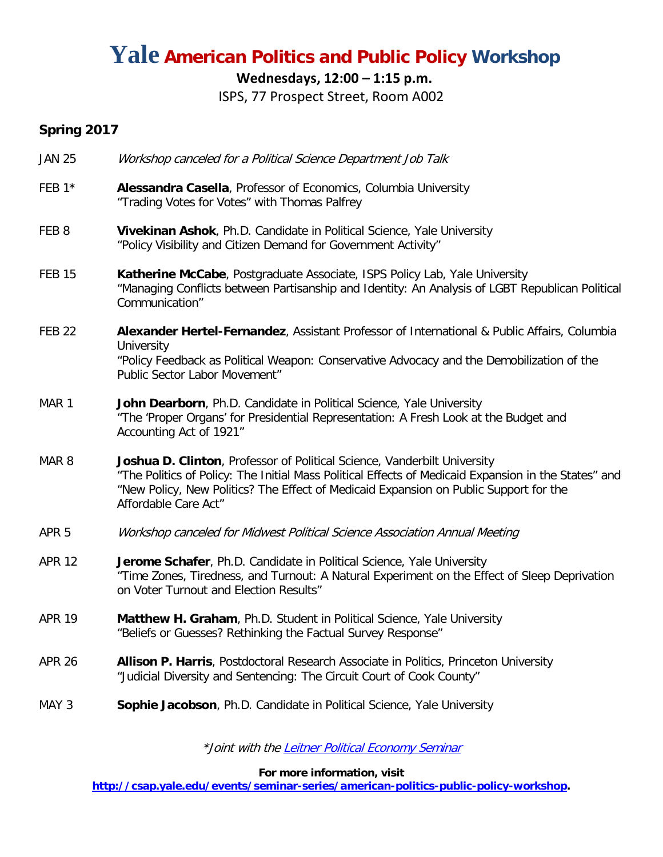## **Yale American Politics and Public Policy Workshop**

### **Wednesdays, 12:00 – 1:15 p.m.**

ISPS, 77 Prospect Street, Room A002

### **Spring 2017**

- JAN 25 Workshop canceled for a Political Science Department Job Talk
- FEB 1\* **Alessandra Casella**, Professor of Economics, Columbia University "Trading Votes for Votes" with Thomas Palfrey
- FEB 8 **Vivekinan Ashok**, Ph.D. Candidate in Political Science, Yale University "Policy Visibility and Citizen Demand for Government Activity"
- FEB 15 **Katherine McCabe**, Postgraduate Associate, ISPS Policy Lab, Yale University "Managing Conflicts between Partisanship and Identity: An Analysis of LGBT Republican Political Communication"
- FEB 22 **Alexander Hertel-Fernandez**, Assistant Professor of International & Public Affairs, Columbia **University** "Policy Feedback as Political Weapon: Conservative Advocacy and the Demobilization of the Public Sector Labor Movement"
- MAR 1 **John Dearborn**, Ph.D. Candidate in Political Science, Yale University "The 'Proper Organs' for Presidential Representation: A Fresh Look at the Budget and Accounting Act of 1921"
- MAR 8 **Joshua D. Clinton**, Professor of Political Science, Vanderbilt University "The Politics of Policy: The Initial Mass Political Effects of Medicaid Expansion in the States" and "New Policy, New Politics? The Effect of Medicaid Expansion on Public Support for the Affordable Care Act"
- APR 5 Workshop canceled for Midwest Political Science Association Annual Meeting
- APR 12 **Jerome Schafer**, Ph.D. Candidate in Political Science, Yale University "Time Zones, Tiredness, and Turnout: A Natural Experiment on the Effect of Sleep Deprivation on Voter Turnout and Election Results"
- APR 19 **Matthew H. Graham**, Ph.D. Student in Political Science, Yale University "Beliefs or Guesses? Rethinking the Factual Survey Response"
- APR 26 **Allison P. Harris**, Postdoctoral Research Associate in Politics, Princeton University "Judicial Diversity and Sentencing: The Circuit Court of Cook County"
- MAY 3 **Sophie Jacobson**, Ph.D. Candidate in Political Science, Yale University

\*Joint with th[e Leitner Political Economy Seminar](http://leitner.yale.edu/leitner-political-economy-seminar-0)

**For more information, visit**

**[http://csap.yale.edu/events/seminar-series/american-politics-public-policy-workshop.](http://csap.yale.edu/events/seminar-series/american-politics-public-policy-workshop)**